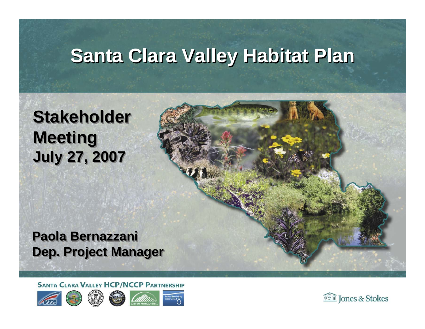### **Santa Clara Valley Habitat Plan**

#### **Stakeholder Stakeholder Meeting Meeting July 27, 2007 July 27, 2007**

**Paola Bernazzani Paola Bernazzani**



**SANTA CLARA VALLEY HCP/NCCP PARTNERSHIP** 









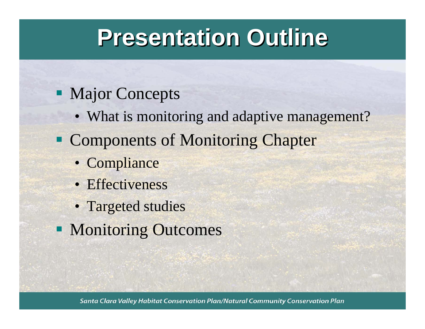### **Presentation Outline Presentation Outline**

- Q. Major Concepts
	- What is monitoring and adaptive management?
- **Components of Monitoring Chapter** 
	- Compliance
	- Effectiveness
	- Targeted studies
- **Monitoring Outcomes**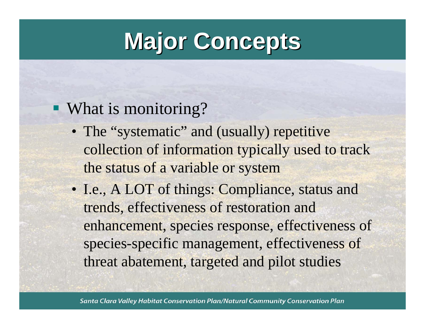#### ■ What is monitoring?

- The "systematic" and (usually) repetitive collection of information typically used to track the status of a variable or system
- I.e., A LOT of things: Compliance, status and trends, effectiveness of restoration and enhancement, species response, effectiveness of species-specific management, effectiveness of threat abatement, targeted and pilot studies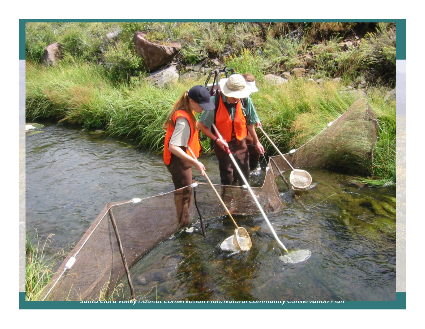

Sama Clara valley Habitat Conservation Plan/Ivatural Community Conservation Plan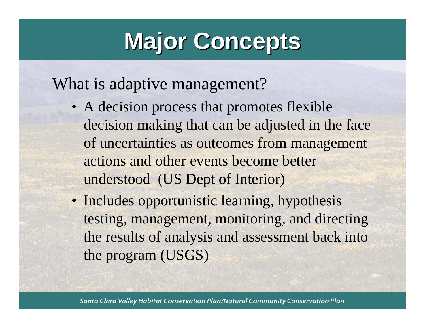What is adaptive management?

- A decision process that promotes flexible decision making that can be adjusted in the face of uncertainties as outcomes from management actions and other events become better understood (US Dept of Interior)
- Includes opportunistic learning, hypothesis testing, management, monitoring, and directing the results of analysis and assessment back into the program (USGS)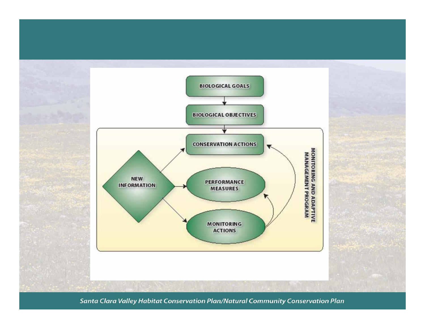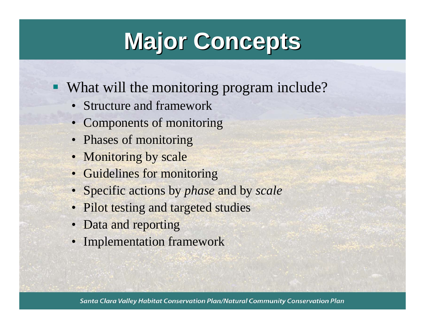- What will the monitoring program include?
	- Structure and framework
	- Components of monitoring
	- Phases of monitoring
	- Monitoring by scale
	- Guidelines for monitoring
	- Specific actions by *phase* and by *scale*
	- Pilot testing and targeted studies
	- Data and reporting
	- Implementation framework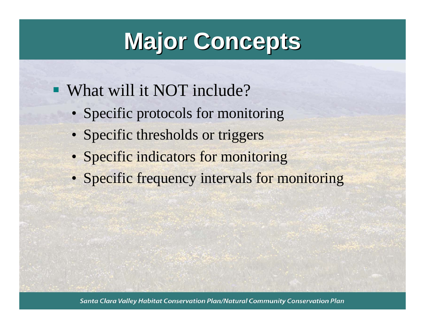- What will it NOT include?
	- Specific protocols for monitoring
	- Specific thresholds or triggers
	- Specific indicators for monitoring
	- Specific frequency intervals for monitoring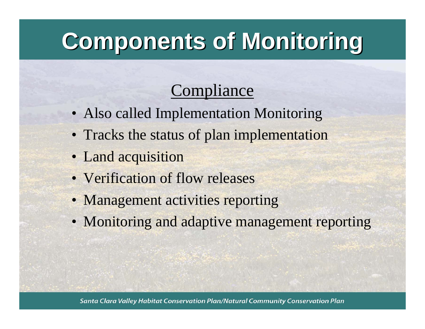#### **Compliance**

- Also called Implementation Monitoring
- Tracks the status of plan implementation
- Land acquisition
- Verification of flow releases
- Management activities reporting
- Monitoring and adaptive management reporting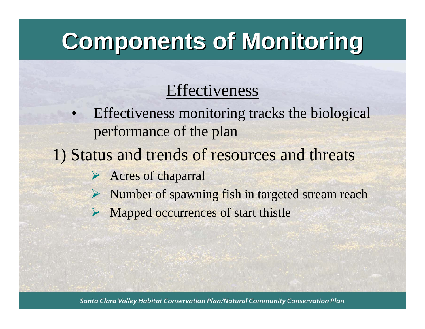#### Effectiveness

- • Effectiveness monitoring tracks the biological performance of the plan
- 1) Status and trends of resources and threats
	- ¾ Acres of chaparral
	- ¾Number of spawning fish in targeted stream reach
	- ¾Mapped occurrences of start thistle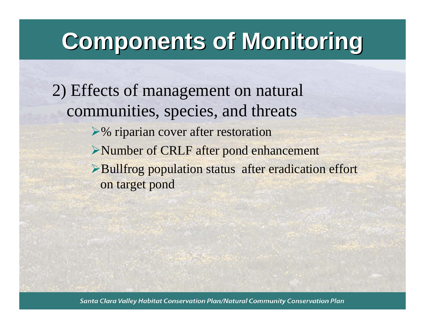2) Effects of management on natural communities, species, and threats  $\geq$ % riparian cover after restoration ¾Number of CRLF after pond enhancement ¾Bullfrog population status after eradication effort on target pond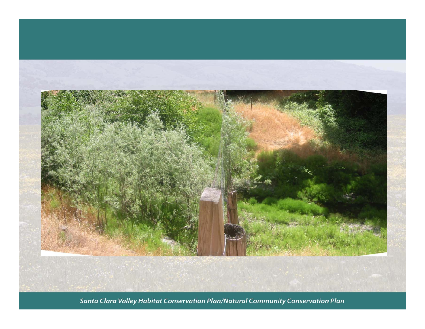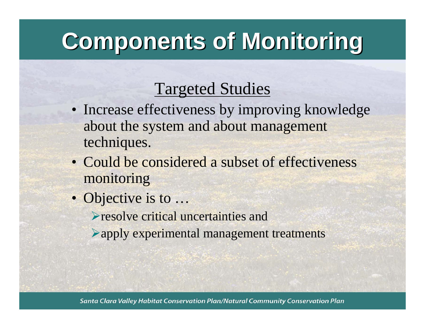### Targeted Studies

- Increase effectiveness by improving knowledge about the system and about management techniques.
- Could be considered a subset of effectiveness monitoring
- Objective is to …
	- $\blacktriangleright$  resolve critical uncertainties and
	- ¾apply experimental management treatments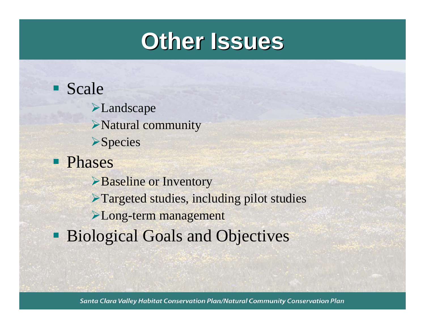### **Other Issues Other Issues**

 Scale ¾Landscape  $\triangleright$  Natural community **>Species Phases ≻Baseline or Inventory** ¾Targeted studies, including pilot studies ¾Long-term management **Biological Goals and Objectives**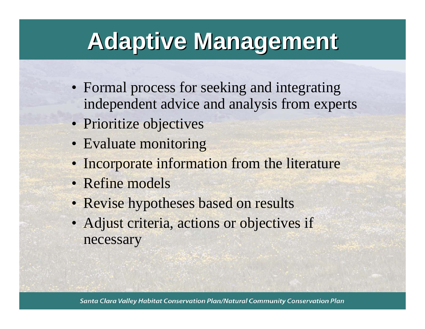## **Adaptive Management Adaptive Management**

- Formal process for seeking and integrating independent advice and analysis from experts
- Prioritize objectives
- Evaluate monitoring
- Incorporate information from the literature
- Refine models
- Revise hypotheses based on results
- Adjust criteria, actions or objectives if necessary